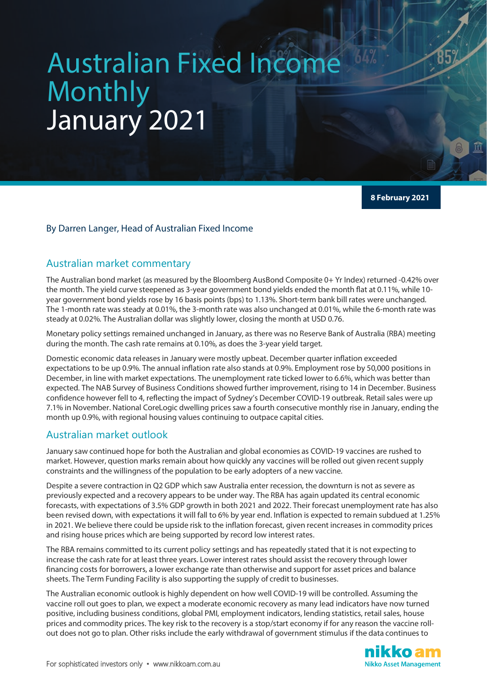# Australian Fixed Income Monthly January 2021

**8 February 2021**

#### By Darren Langer, Head of Australian Fixed Income

## Australian market commentary

The Australian bond market (as measured by the Bloomberg AusBond Composite 0+ Yr Index) returned -0.42% over the month. The yield curve steepened as 3-year government bond yields ended the month flat at 0.11%, while 10 year government bond yields rose by 16 basis points (bps) to 1.13%. Short-term bank bill rates were unchanged. The 1-month rate was steady at 0.01%, the 3-month rate was also unchanged at 0.01%, while the 6-month rate was steady at 0.02%. The Australian dollar was slightly lower, closing the month at USD 0.76.

Monetary policy settings remained unchanged in January, as there was no Reserve Bank of Australia (RBA) meeting during the month. The cash rate remains at 0.10%, as does the 3-year yield target.

Domestic economic data releases in January were mostly upbeat. December quarter inflation exceeded expectations to be up 0.9%. The annual inflation rate also stands at 0.9%. Employment rose by 50,000 positions in December, in line with market expectations. The unemployment rate ticked lower to 6.6%, which was better than expected. The NAB Survey of Business Conditions showed further improvement, rising to 14 in December. Business confidence however fell to 4, reflecting the impact of Sydney's December COVID-19 outbreak. Retail sales were up 7.1% in November. National CoreLogic dwelling prices saw a fourth consecutive monthly rise in January, ending the month up 0.9%, with regional housing values continuing to outpace capital cities.

# Australian market outlook

January saw continued hope for both the Australian and global economies as COVID-19 vaccines are rushed to market. However, question marks remain about how quickly any vaccines will be rolled out given recent supply constraints and the willingness of the population to be early adopters of a new vaccine.

Despite a severe contraction in Q2 GDP which saw Australia enter recession, the downturn is not as severe as previously expected and a recovery appears to be under way. The RBA has again updated its central economic forecasts, with expectations of 3.5% GDP growth in both 2021 and 2022. Their forecast unemployment rate has also been revised down, with expectations it will fall to 6% by year end. Inflation is expected to remain subdued at 1.25% in 2021. We believe there could be upside risk to the inflation forecast, given recent increases in commodity prices and rising house prices which are being supported by record low interest rates.

The RBA remains committed to its current policy settings and has repeatedly stated that it is not expecting to increase the cash rate for at least three years. Lower interest rates should assist the recovery through lower financing costs for borrowers, a lower exchange rate than otherwise and support for asset prices and balance sheets. The Term Funding Facility is also supporting the supply of credit to businesses.

The Australian economic outlook is highly dependent on how well COVID-19 will be controlled. Assuming the vaccine roll out goes to plan, we expect a moderate economic recovery as many lead indicators have now turned positive, including business conditions, global PMI, employment indicators, lending statistics, retail sales, house prices and commodity prices. The key risk to the recovery is a stop/start economy if for any reason the vaccine rollout does not go to plan. Other risks include the early withdrawal of government stimulus if the data continues to

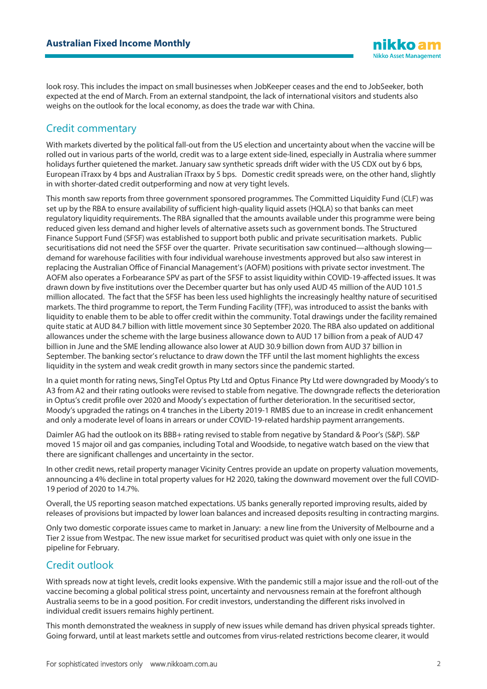look rosy. This includes the impact on small businesses when JobKeeper ceases and the end to JobSeeker, both expected at the end of March. From an external standpoint, the lack of international visitors and students also weighs on the outlook for the local economy, as does the trade war with China.

# Credit commentary

With markets diverted by the political fall-out from the US election and uncertainty about when the vaccine will be rolled out in various parts of the world, credit was to a large extent side-lined, especially in Australia where summer holidays further quietened the market. January saw synthetic spreads drift wider with the US CDX out by 6 bps, European iTraxx by 4 bps and Australian iTraxx by 5 bps. Domestic credit spreads were, on the other hand, slightly in with shorter-dated credit outperforming and now at very tight levels.

This month saw reports from three government sponsored programmes. The Committed Liquidity Fund (CLF) was set up by the RBA to ensure availability of sufficient high-quality liquid assets (HQLA) so that banks can meet regulatory liquidity requirements. The RBA signalled that the amounts available under this programme were being reduced given less demand and higher levels of alternative assets such as government bonds. The Structured Finance Support Fund (SFSF) was established to support both public and private securitisation markets. Public securitisations did not need the SFSF over the quarter. Private securitisation saw continued—although slowing demand for warehouse facilities with four individual warehouse investments approved but also saw interest in replacing the Australian Office of Financial Management's (AOFM) positions with private sector investment. The AOFM also operates a Forbearance SPV as part of the SFSF to assist liquidity within COVID-19-affected issues. It was drawn down by five institutions over the December quarter but has only used AUD 45 million of the AUD 101.5 million allocated. The fact that the SFSF has been less used highlights the increasingly healthy nature of securitised markets. The third programme to report, the Term Funding Facility (TFF), was introduced to assist the banks with liquidity to enable them to be able to offer credit within the community. Total drawings under the facility remained quite static at AUD 84.7 billion with little movement since 30 September 2020. The RBA also updated on additional allowances under the scheme with the large business allowance down to AUD 17 billion from a peak of AUD 47 billion in June and the SME lending allowance also lower at AUD 30.9 billion down from AUD 37 billion in September. The banking sector's reluctance to draw down the TFF until the last moment highlights the excess liquidity in the system and weak credit growth in many sectors since the pandemic started.

In a quiet month for rating news, SingTel Optus Pty Ltd and Optus Finance Pty Ltd were downgraded by Moody's to A3 from A2 and their rating outlooks were revised to stable from negative. The downgrade reflects the deterioration in Optus's credit profile over 2020 and Moody's expectation of further deterioration. In the securitised sector, Moody's upgraded the ratings on 4 tranches in the Liberty 2019-1 RMBS due to an increase in credit enhancement and only a moderate level of loans in arrears or under COVID-19-related hardship payment arrangements.

Daimler AG had the outlook on its BBB+ rating revised to stable from negative by Standard & Poor's (S&P). S&P moved 15 major oil and gas companies, including Total and Woodside, to negative watch based on the view that there are significant challenges and uncertainty in the sector.

In other credit news, retail property manager Vicinity Centres provide an update on property valuation movements, announcing a 4% decline in total property values for H2 2020, taking the downward movement over the full COVID-19 period of 2020 to 14.7%.

Overall, the US reporting season matched expectations. US banks generally reported improving results, aided by releases of provisions but impacted by lower loan balances and increased deposits resulting in contracting margins.

Only two domestic corporate issues came to market in January: a new line from the University of Melbourne and a Tier 2 issue from Westpac. The new issue market for securitised product was quiet with only one issue in the pipeline for February.

# Credit outlook

With spreads now at tight levels, credit looks expensive. With the pandemic still a major issue and the roll-out of the vaccine becoming a global political stress point, uncertainty and nervousness remain at the forefront although Australia seems to be in a good position. For credit investors, understanding the different risks involved in individual credit issuers remains highly pertinent.

This month demonstrated the weakness in supply of new issues while demand has driven physical spreads tighter. Going forward, until at least markets settle and outcomes from virus-related restrictions become clearer, it would

iikko ar **Nikko Asset Management**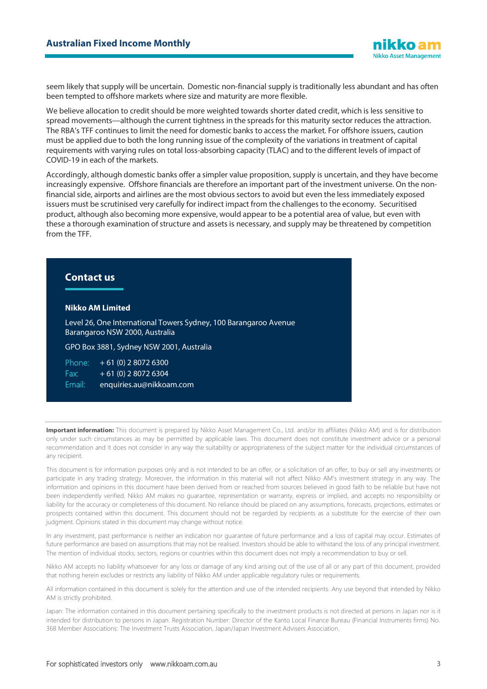seem likely that supply will be uncertain. Domestic non-financial supply is traditionally less abundant and has often been tempted to offshore markets where size and maturity are more flexible.

We believe allocation to credit should be more weighted towards shorter dated credit, which is less sensitive to spread movements—although the current tightness in the spreads for this maturity sector reduces the attraction. The RBA's TFF continues to limit the need for domestic banks to access the market. For offshore issuers, caution must be applied due to both the long running issue of the complexity of the variations in treatment of capital requirements with varying rules on total loss-absorbing capacity (TLAC) and to the different levels of impact of COVID-19 in each of the markets.

Accordingly, although domestic banks offer a simpler value proposition, supply is uncertain, and they have become increasingly expensive. Offshore financials are therefore an important part of the investment universe. On the nonfinancial side, airports and airlines are the most obvious sectors to avoid but even the less immediately exposed issuers must be scrutinised very carefully for indirect impact from the challenges to the economy. Securitised product, although also becoming more expensive, would appear to be a potential area of value, but even with these a thorough examination of structure and assets is necessary, and supply may be threatened by competition from the TFF.

# **Contact us**

#### **Nikko AM Limited**

Level 26, One International Towers Sydney, 100 Barangaroo Avenue Barangaroo NSW 2000, Australia

GPO Box 3881, Sydney NSW 2001, Australia

Phone:  $+ 61 (0) 2 8072 6300$  $Fax: +61(0)$  2 8072 6304

Email: enquiries.au@nikkoam.com

Important information: This document is prepared by Nikko Asset Management Co., Ltd. and/or its affiliates (Nikko AM) and is for distribution only under such circumstances as may be permitted by applicable laws. This document does not constitute investment advice or a personal recommendation and it does not consider in any way the suitability or appropriateness of the subject matter for the individual circumstances of any recipient.

This document is for information purposes only and is not intended to be an offer, or a solicitation of an offer, to buy or sell any investments or participate in any trading strategy. Moreover, the information in this material will not affect Nikko AM's investment strategy in any way. The information and opinions in this document have been derived from or reached from sources believed in good faith to be reliable but have not been independently verified. Nikko AM makes no guarantee, representation or warranty, express or implied, and accepts no responsibility or liability for the accuracy or completeness of this document. No reliance should be placed on any assumptions, forecasts, projections, estimates or prospects contained within this document. This document should not be regarded by recipients as a substitute for the exercise of their own judgment. Opinions stated in this document may change without notice.

In any investment, past performance is neither an indication nor guarantee of future performance and a loss of capital may occur. Estimates of future performance are based on assumptions that may not be realised. Investors should be able to withstand the loss of any principal investment. The mention of individual stocks, sectors, regions or countries within this document does not imply a recommendation to buy or sell.

Nikko AM accepts no liability whatsoever for any loss or damage of any kind arising out of the use of all or any part of this document, provided that nothing herein excludes or restricts any liability of Nikko AM under applicable regulatory rules or requirements.

All information contained in this document is solely for the attention and use of the intended recipients. Any use beyond that intended by Nikko AM is strictly prohibited.

Japan: The information contained in this document pertaining specifically to the investment products is not directed at persons in Japan nor is it intended for distribution to persons in Japan. Registration Number: Director of the Kanto Local Finance Bureau (Financial Instruments firms) No. 368 Member Associations: The Investment Trusts Association, Japan/Japan Investment Advisers Association.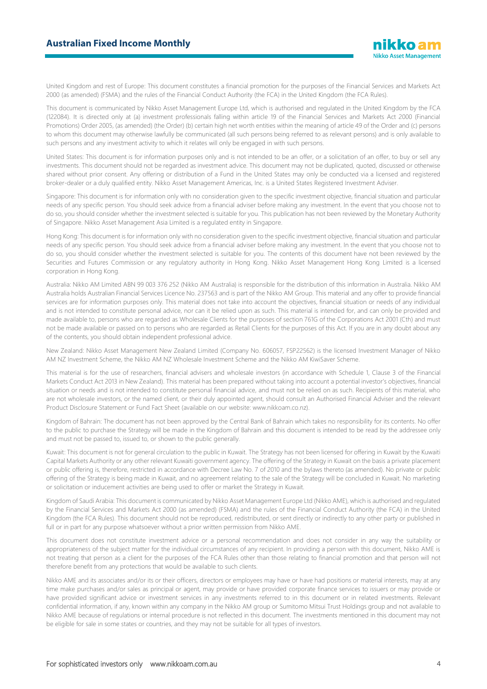United Kingdom and rest of Europe: This document constitutes a financial promotion for the purposes of the Financial Services and Markets Act 2000 (as amended) (FSMA) and the rules of the Financial Conduct Authority (the FCA) in the United Kingdom (the FCA Rules).

This document is communicated by Nikko Asset Management Europe Ltd, which is authorised and regulated in the United Kingdom by the FCA (122084). It is directed only at (a) investment professionals falling within article 19 of the Financial Services and Markets Act 2000 (Financial Promotions) Order 2005, (as amended) (the Order) (b) certain high net worth entities within the meaning of article 49 of the Order and (c) persons to whom this document may otherwise lawfully be communicated (all such persons being referred to as relevant persons) and is only available to such persons and any investment activity to which it relates will only be engaged in with such persons.

United States: This document is for information purposes only and is not intended to be an offer, or a solicitation of an offer, to buy or sell any investments. This document should not be regarded as investment advice. This document may not be duplicated, quoted, discussed or otherwise shared without prior consent. Any offering or distribution of a Fund in the United States may only be conducted via a licensed and registered broker-dealer or a duly qualified entity. Nikko Asset Management Americas, Inc. is a United States Registered Investment Adviser.

Singapore: This document is for information only with no consideration given to the specific investment objective, financial situation and particular needs of any specific person. You should seek advice from a financial adviser before making any investment. In the event that you choose not to do so, you should consider whether the investment selected is suitable for you. This publication has not been reviewed by the Monetary Authority of Singapore. Nikko Asset Management Asia Limited is a regulated entity in Singapore.

Hong Kong: This document is for information only with no consideration given to the specific investment objective, financial situation and particular needs of any specific person. You should seek advice from a financial adviser before making any investment. In the event that you choose not to do so, you should consider whether the investment selected is suitable for you. The contents of this document have not been reviewed by the Securities and Futures Commission or any regulatory authority in Hong Kong. Nikko Asset Management Hong Kong Limited is a licensed corporation in Hong Kong.

Australia: Nikko AM Limited ABN 99 003 376 252 (Nikko AM Australia) is responsible for the distribution of this information in Australia. Nikko AM Australia holds Australian Financial Services Licence No. 237563 and is part of the Nikko AM Group. This material and any offer to provide financial services are for information purposes only. This material does not take into account the objectives, financial situation or needs of any individual and is not intended to constitute personal advice, nor can it be relied upon as such. This material is intended for, and can only be provided and made available to, persons who are regarded as Wholesale Clients for the purposes of section 761G of the Corporations Act 2001 (Cth) and must not be made available or passed on to persons who are regarded as Retail Clients for the purposes of this Act. If you are in any doubt about any of the contents, you should obtain independent professional advice.

New Zealand: Nikko Asset Management New Zealand Limited (Company No. 606057, FSP22562) is the licensed Investment Manager of Nikko AM NZ Investment Scheme, the Nikko AM NZ Wholesale Investment Scheme and the Nikko AM KiwiSaver Scheme.

This material is for the use of researchers, financial advisers and wholesale investors (in accordance with Schedule 1, Clause 3 of the Financial Markets Conduct Act 2013 in New Zealand). This material has been prepared without taking into account a potential investor's objectives, financial situation or needs and is not intended to constitute personal financial advice, and must not be relied on as such. Recipients of this material, who are not wholesale investors, or the named client, or their duly appointed agent, should consult an Authorised Financial Adviser and the relevant Product Disclosure Statement or Fund Fact Sheet (available on our website: www.nikkoam.co.nz).

Kingdom of Bahrain: The document has not been approved by the Central Bank of Bahrain which takes no responsibility for its contents. No offer to the public to purchase the Strategy will be made in the Kingdom of Bahrain and this document is intended to be read by the addressee only and must not be passed to, issued to, or shown to the public generally.

Kuwait: This document is not for general circulation to the public in Kuwait. The Strategy has not been licensed for offering in Kuwait by the Kuwaiti Capital Markets Authority or any other relevant Kuwaiti government agency. The offering of the Strategy in Kuwait on the basis a private placement or public offering is, therefore, restricted in accordance with Decree Law No. 7 of 2010 and the bylaws thereto (as amended). No private or public offering of the Strategy is being made in Kuwait, and no agreement relating to the sale of the Strategy will be concluded in Kuwait. No marketing or solicitation or inducement activities are being used to offer or market the Strategy in Kuwait.

Kingdom of Saudi Arabia: This document is communicated by Nikko Asset Management Europe Ltd (Nikko AME), which is authorised and regulated by the Financial Services and Markets Act 2000 (as amended) (FSMA) and the rules of the Financial Conduct Authority (the FCA) in the United Kingdom (the FCA Rules). This document should not be reproduced, redistributed, or sent directly or indirectly to any other party or published in full or in part for any purpose whatsoever without a prior written permission from Nikko AME.

This document does not constitute investment advice or a personal recommendation and does not consider in any way the suitability or appropriateness of the subject matter for the individual circumstances of any recipient. In providing a person with this document, Nikko AME is not treating that person as a client for the purposes of the FCA Rules other than those relating to financial promotion and that person will not therefore benefit from any protections that would be available to such clients.

Nikko AME and its associates and/or its or their officers, directors or employees may have or have had positions or material interests, may at any time make purchases and/or sales as principal or agent, may provide or have provided corporate finance services to issuers or may provide or have provided significant advice or investment services in any investments referred to in this document or in related investments. Relevant confidential information, if any, known within any company in the Nikko AM group or Sumitomo Mitsui Trust Holdings group and not available to Nikko AME because of regulations or internal procedure is not reflected in this document. The investments mentioned in this document may not be eligible for sale in some states or countries, and they may not be suitable for all types of investors.